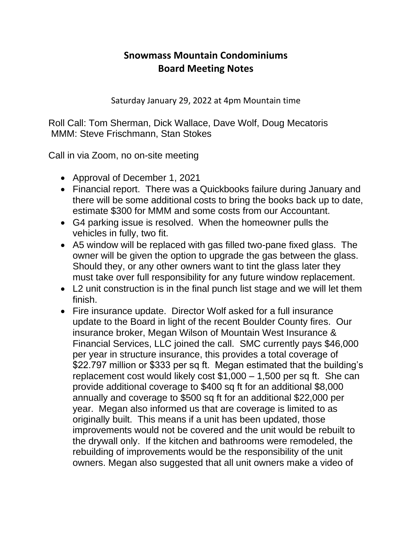## **Snowmass Mountain Condominiums Board Meeting Notes**

Saturday January 29, 2022 at 4pm Mountain time

Roll Call: Tom Sherman, Dick Wallace, Dave Wolf, Doug Mecatoris MMM: Steve Frischmann, Stan Stokes

Call in via Zoom, no on-site meeting

- Approval of December 1, 2021
- Financial report. There was a Quickbooks failure during January and there will be some additional costs to bring the books back up to date, estimate \$300 for MMM and some costs from our Accountant.
- G4 parking issue is resolved. When the homeowner pulls the vehicles in fully, two fit.
- A5 window will be replaced with gas filled two-pane fixed glass. The owner will be given the option to upgrade the gas between the glass. Should they, or any other owners want to tint the glass later they must take over full responsibility for any future window replacement.
- L2 unit construction is in the final punch list stage and we will let them finish.
- Fire insurance update. Director Wolf asked for a full insurance update to the Board in light of the recent Boulder County fires. Our insurance broker, Megan Wilson of Mountain West Insurance & Financial Services, LLC joined the call. SMC currently pays \$46,000 per year in structure insurance, this provides a total coverage of \$22.797 million or \$333 per sq ft. Megan estimated that the building's replacement cost would likely cost \$1,000 – 1,500 per sq ft. She can provide additional coverage to \$400 sq ft for an additional \$8,000 annually and coverage to \$500 sq ft for an additional \$22,000 per year. Megan also informed us that are coverage is limited to as originally built. This means if a unit has been updated, those improvements would not be covered and the unit would be rebuilt to the drywall only. If the kitchen and bathrooms were remodeled, the rebuilding of improvements would be the responsibility of the unit owners. Megan also suggested that all unit owners make a video of